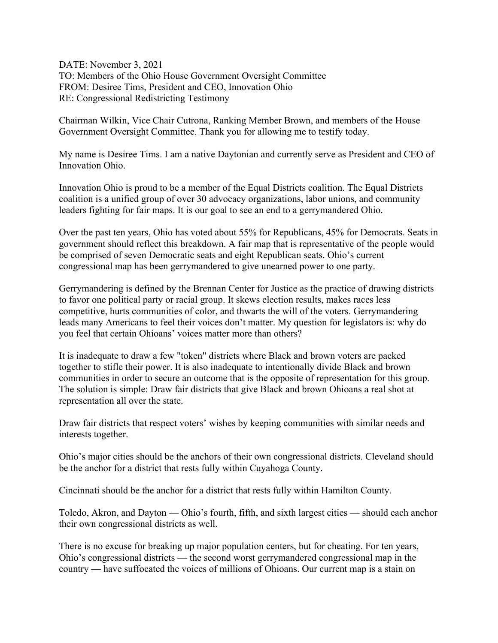DATE: November 3, 2021 TO: Members of the Ohio House Government Oversight Committee FROM: Desiree Tims, President and CEO, Innovation Ohio RE: Congressional Redistricting Testimony

Chairman Wilkin, Vice Chair Cutrona, Ranking Member Brown, and members of the House Government Oversight Committee. Thank you for allowing me to testify today.

My name is Desiree Tims. I am a native Daytonian and currently serve as President and CEO of Innovation Ohio.

Innovation Ohio is proud to be a member of the Equal Districts coalition. The Equal Districts coalition is a unified group of over 30 advocacy organizations, labor unions, and community leaders fighting for fair maps. It is our goal to see an end to a gerrymandered Ohio.

Over the past ten years, Ohio has voted about 55% for Republicans, 45% for Democrats. Seats in government should reflect this breakdown. A fair map that is representative of the people would be comprised of seven Democratic seats and eight Republican seats. Ohio's current congressional map has been gerrymandered to give unearned power to one party.

Gerrymandering is defined by the Brennan Center for Justice as the practice of drawing districts to favor one political party or racial group. It skews election results, makes races less competitive, hurts communities of color, and thwarts the will of the voters. Gerrymandering leads many Americans to feel their voices don't matter. My question for legislators is: why do you feel that certain Ohioans' voices matter more than others?

It is inadequate to draw a few "token" districts where Black and brown voters are packed together to stifle their power. It is also inadequate to intentionally divide Black and brown communities in order to secure an outcome that is the opposite of representation for this group. The solution is simple: Draw fair districts that give Black and brown Ohioans a real shot at representation all over the state.

Draw fair districts that respect voters' wishes by keeping communities with similar needs and interests together.

Ohio's major cities should be the anchors of their own congressional districts. Cleveland should be the anchor for a district that rests fully within Cuyahoga County.

Cincinnati should be the anchor for a district that rests fully within Hamilton County.

Toledo, Akron, and Dayton — Ohio's fourth, fifth, and sixth largest cities — should each anchor their own congressional districts as well.

There is no excuse for breaking up major population centers, but for cheating. For ten years, Ohio's congressional districts — the second worst gerrymandered congressional map in the country — have suffocated the voices of millions of Ohioans. Our current map is a stain on